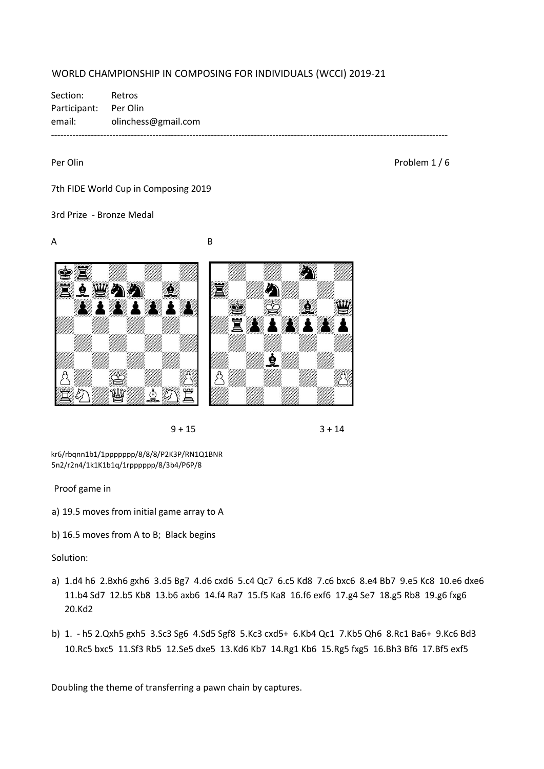## WORLD CHAMPIONSHIP IN COMPOSING FOR INDIVIDUALS (WCCI) 2019-21

Section: Retros Participant: Per Olin email: olinchess@gmail.com ---------------------------------------------------------------------------------------------------------------------------------

Per Olin Problem 1/6

7th FIDE World Cup in Composing 2019

## 3rd Prize - Bronze Medal

A B



 $9 + 15$  3 + 14

kr6/rbqnn1b1/1ppppppp/8/8/8/P2K3P/RN1Q1BNR 5n2/r2n4/1k1K1b1q/1rpppppp/8/3b4/P6P/8

## Proof game in

- a) 19.5 moves from initial game array to A
- b) 16.5 moves from A to B; Black begins

# Solution:

- a) 1.d4 h6 2.Bxh6 gxh6 3.d5 Bg7 4.d6 cxd6 5.c4 Qc7 6.c5 Kd8 7.c6 bxc6 8.e4 Bb7 9.e5 Kc8 10.e6 dxe6 11.b4 Sd7 12.b5 Kb8 13.b6 axb6 14.f4 Ra7 15.f5 Ka8 16.f6 exf6 17.g4 Se7 18.g5 Rb8 19.g6 fxg6 20.Kd2
- b) 1. h5 2.Qxh5 gxh5 3.Sc3 Sg6 4.Sd5 Sgf8 5.Kc3 cxd5+ 6.Kb4 Qc1 7.Kb5 Qh6 8.Rc1 Ba6+ 9.Kc6 Bd3 10.Rc5 bxc5 11.Sf3 Rb5 12.Se5 dxe5 13.Kd6 Kb7 14.Rg1 Kb6 15.Rg5 fxg5 16.Bh3 Bf6 17.Bf5 exf5

Doubling the theme of transferring a pawn chain by captures.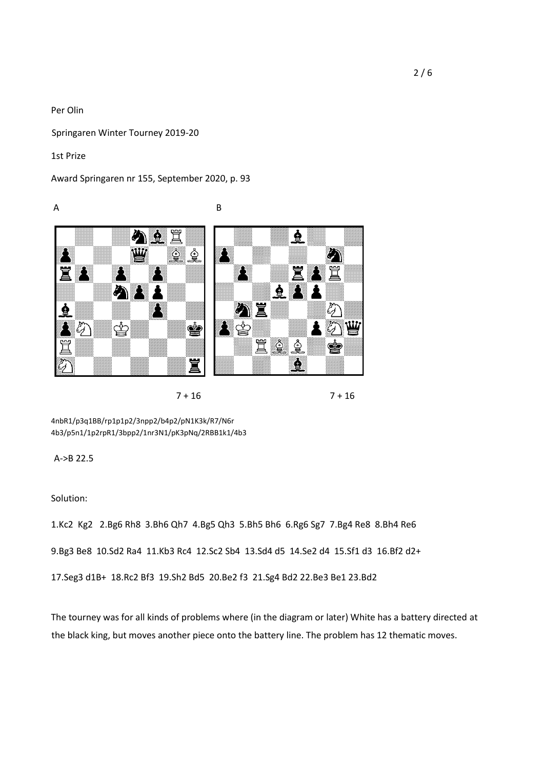Per Olin

Springaren Winter Tourney 2019-20

1st Prize

Award Springaren nr 155, September 2020, p. 93

A B



 $7 + 16$   $7 + 16$ 

4nbR1/p3q1BB/rp1p1p2/3npp2/b4p2/pN1K3k/R7/N6r 4b3/p5n1/1p2rpR1/3bpp2/1nr3N1/pK3pNq/2RBB1k1/4b3

A->B 22.5

Solution:

1.Kc2 Kg2 2.Bg6 Rh8 3.Bh6 Qh7 4.Bg5 Qh3 5.Bh5 Bh6 6.Rg6 Sg7 7.Bg4 Re8 8.Bh4 Re6

9.Bg3 Be8 10.Sd2 Ra4 11.Kb3 Rc4 12.Sc2 Sb4 13.Sd4 d5 14.Se2 d4 15.Sf1 d3 16.Bf2 d2+

17.Seg3 d1B+ 18.Rc2 Bf3 19.Sh2 Bd5 20.Be2 f3 21.Sg4 Bd2 22.Be3 Be1 23.Bd2

The tourney was for all kinds of problems where (in the diagram or later) White has a battery directed at the black king, but moves another piece onto the battery line. The problem has 12 thematic moves.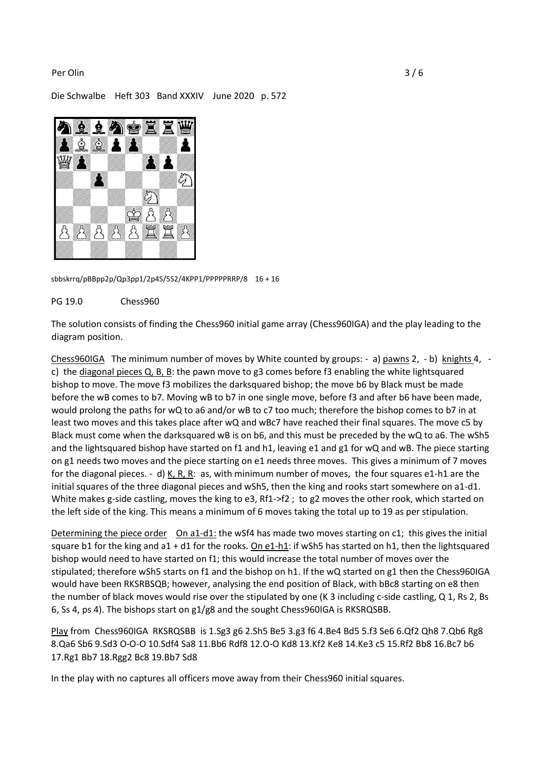### Per Olin  $3/6$

Die Schwalbe Heft 303 Band XXXIV June 2020 p. 572



sbbskrrq/pBBpp2p/Qp3pp1/2p4S/5S2/4KPP1/PPPPPRRP/8 16 + 16

### PG 19.0 Chess960

The solution consists of finding the Chess960 initial game array (Chess960IGA) and the play leading to the diagram position.

Chess960IGA The minimum number of moves by White counted by groups: - a) pawns 2, - b) knights 4, c) the diagonal pieces Q, B, B: the pawn move to g3 comes before f3 enabling the white lightsquared bishop to move. The move f3 mobilizes the darksquared bishop; the move b6 by Black must be made before the wB comes to b7. Moving wB to b7 in one single move, before f3 and after b6 have been made, would prolong the paths for wQ to a6 and/or wB to c7 too much; therefore the bishop comes to b7 in at least two moves and this takes place after wQ and wBc7 have reached their final squares. The move c5 by Black must come when the darksquared wB is on b6, and this must be preceded by the wQ to a6. The wSh5 and the lightsquared bishop have started on f1 and h1, leaving e1 and g1 for wQ and wB. The piece starting on g1 needs two moves and the piece starting on e1 needs three moves. This gives a minimum of 7 moves for the diagonal pieces. - d) K, R, R: as, with minimum number of moves, the four squares e1-h1 are the initial squares of the three diagonal pieces and wSh5, then the king and rooks start somewhere on a1-d1. White makes g-side castling, moves the king to e3, Rf1->f2 ; to g2 moves the other rook, which started on the left side of the king. This means a minimum of 6 moves taking the total up to 19 as per stipulation.

Determining the piece order On a1-d1: the wSf4 has made two moves starting on c1; this gives the initial square b1 for the king and a1 + d1 for the rooks. On e1-h1: if wSh5 has started on h1, then the lightsquared bishop would need to have started on f1; this would increase the total number of moves over the stipulated; therefore wSh5 starts on f1 and the bishop on h1. If the wQ started on g1 then the Chess960IGA would have been RKSRBSQB; however, analysing the end position of Black, with bBc8 starting on e8 then the number of black moves would rise over the stipulated by one (K 3 including c-side castling, Q 1, Rs 2, Bs 6, Ss 4, ps 4). The bishops start on g1/g8 and the sought Chess960IGA is RKSRQSBB.

Play from Chess960IGA RKSRQSBB is 1.Sg3 g6 2.Sh5 Be5 3.g3 f6 4.Be4 Bd5 5.f3 Se6 6.Qf2 Qh8 7.Qb6 Rg8 8.Qa6 Sb6 9.Sd3 O-O-O 10.Sdf4 Sa8 11.Bb6 Rdf8 12.O-O Kd8 13.Kf2 Ke8 14.Ke3 c5 15.Rf2 Bb8 16.Bc7 b6 17.Rg1 Bb7 18.Rgg2 Bc8 19.Bb7 Sd8

In the play with no captures all officers move away from their Chess960 initial squares.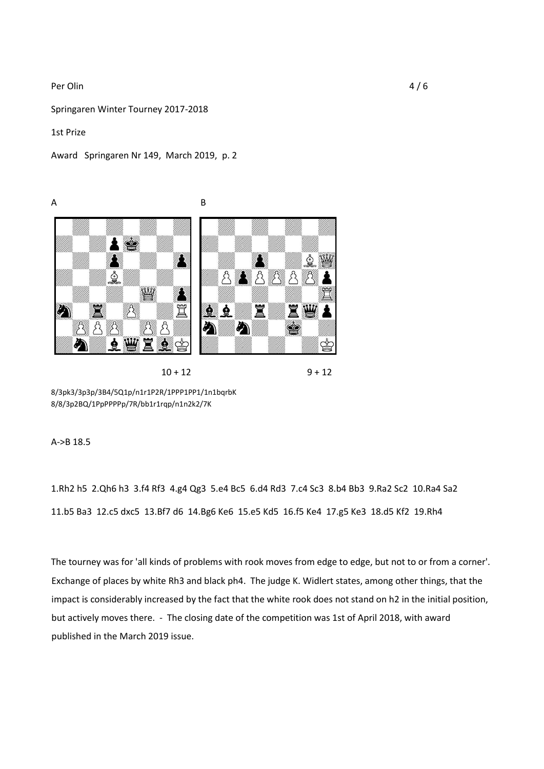Per Olin  $4/6$ 

Springaren Winter Tourney 2017-2018

1st Prize

Award Springaren Nr 149, March 2019, p. 2



 $10 + 12$  9 + 12

8/3pk3/3p3p/3B4/5Q1p/n1r1P2R/1PPP1PP1/1n1bqrbK 8/8/3p2BQ/1PpPPPPp/7R/bb1r1rqp/n1n2k2/7K

#### A->B 18.5

1.Rh2 h5 2.Qh6 h3 3.f4 Rf3 4.g4 Qg3 5.e4 Bc5 6.d4 Rd3 7.c4 Sc3 8.b4 Bb3 9.Ra2 Sc2 10.Ra4 Sa2 11.b5 Ba3 12.c5 dxc5 13.Bf7 d6 14.Bg6 Ke6 15.e5 Kd5 16.f5 Ke4 17.g5 Ke3 18.d5 Kf2 19.Rh4

The tourney was for 'all kinds of problems with rook moves from edge to edge, but not to or from a corner'. Exchange of places by white Rh3 and black ph4. The judge K. Widlert states, among other things, that the impact is considerably increased by the fact that the white rook does not stand on h2 in the initial position, but actively moves there. - The closing date of the competition was 1st of April 2018, with award published in the March 2019 issue.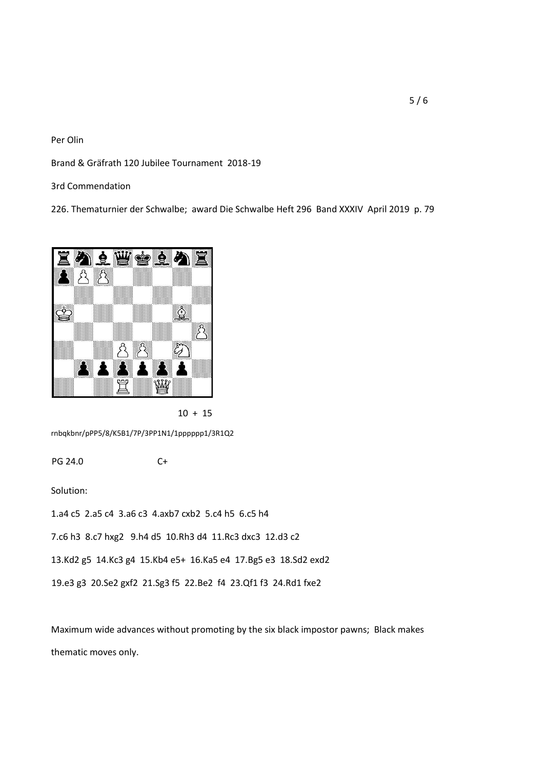Per Olin

Brand & Gräfrath 120 Jubilee Tournament 2018-19

3rd Commendation

226. Thematurnier der Schwalbe; award Die Schwalbe Heft 296 Band XXXIV April 2019 p. 79



10 + 15

rnbqkbnr/pPP5/8/K5B1/7P/3PP1N1/1pppppp1/3R1Q2

PG 24.0 C+

Solution:

1.a4 c5 2.a5 c4 3.a6 c3 4.axb7 cxb2 5.c4 h5 6.c5 h4

7.c6 h3 8.c7 hxg2 9.h4 d5 10.Rh3 d4 11.Rc3 dxc3 12.d3 c2

13.Kd2 g5 14.Kc3 g4 15.Kb4 e5+ 16.Ka5 e4 17.Bg5 e3 18.Sd2 exd2

19.e3 g3 20.Se2 gxf2 21.Sg3 f5 22.Be2 f4 23.Qf1 f3 24.Rd1 fxe2

Maximum wide advances without promoting by the six black impostor pawns; Black makes thematic moves only.